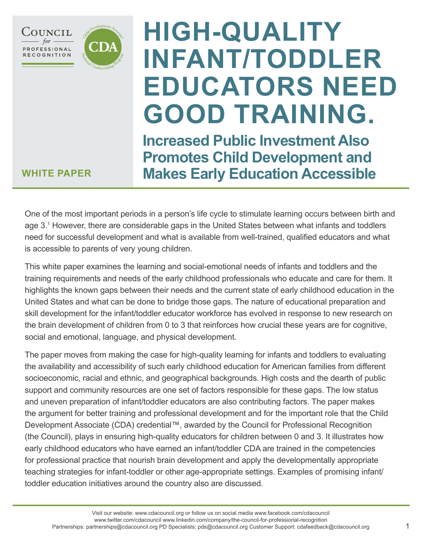



# **HIGH-QUALITY INFANT/TODDLER EDUCATORS NEED GOOD TRAINING.**

**Increased Public Investment Also Promotes Child Development and Makes Early Education Accessible**

### **WHITE PAPER**

One of the most important periods in a person's life cycle to stimulate learning occurs between birth and age 3.1 However, there are considerable gaps in the United States between what infants and toddlers need for successful development and what is available from well-trained, qualified educators and what is accessible to parents of very young children.

This white paper examines the learning and social-emotional needs of infants and toddlers and the training requirements and needs of the early childhood professionals who educate and care for them. It highlights the known gaps between their needs and the current state of early childhood education in the United States and what can be done to bridge those gaps. The nature of educational preparation and skill development for the infant/toddler educator workforce has evolved in response to new research on the brain development of children from 0 to 3 that reinforces how crucial these years are for cognitive, social and emotional, language, and physical development.

The paper moves from making the case for high-quality learning for infants and toddlers to evaluating the availability and accessibility of such early childhood education for American families from different socioeconomic, racial and ethnic, and geographical backgrounds. High costs and the dearth of public support and community resources are one set of factors responsible for these gaps. The low status and uneven preparation of infant/toddler educators are also contributing factors. The paper makes the argument for better training and professional development and for the important role that the Child Development Associate (CDA) credential™, awarded by the Council for Professional Recognition (the Council), plays in ensuring high-quality educators for children between 0 and 3. It illustrates how early childhood educators who have earned an infant/toddler CDA are trained in the competencies for professional practice that nourish brain development and apply the developmentally appropriate teaching strategies for infant-toddler or other age-appropriate settings. Examples of promising infant/ toddler education initiatives around the country also are discussed.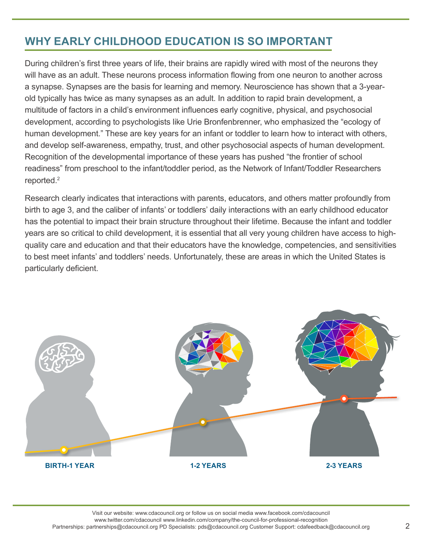## **WHY EARLY CHILDHOOD EDUCATION IS SO IMPORTANT**

During children's first three years of life, their brains are rapidly wired with most of the neurons they will have as an adult. These neurons process information flowing from one neuron to another across a synapse. Synapses are the basis for learning and memory. Neuroscience has shown that a 3-yearold typically has twice as many synapses as an adult. In addition to rapid brain development, a multitude of factors in a child's environment influences early cognitive, physical, and psychosocial development, according to psychologists like Urie Bronfenbrenner, who emphasized the "ecology of human development." These are key years for an infant or toddler to learn how to interact with others, and develop self-awareness, empathy, trust, and other psychosocial aspects of human development. Recognition of the developmental importance of these years has pushed "the frontier of school readiness" from preschool to the infant/toddler period, as the Network of Infant/Toddler Researchers reported.<sup>2</sup>

Research clearly indicates that interactions with parents, educators, and others matter profoundly from birth to age 3, and the caliber of infants' or toddlers' daily interactions with an early childhood educator has the potential to impact their brain structure throughout their lifetime. Because the infant and toddler years are so critical to child development, it is essential that all very young children have access to highquality care and education and that their educators have the knowledge, competencies, and sensitivities to best meet infants' and toddlers' needs. Unfortunately, these are areas in which the United States is particularly deficient.

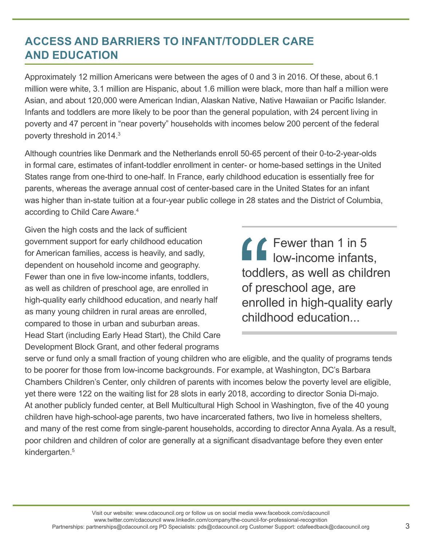## **ACCESS AND BARRIERS TO INFANT/TODDLER CARE AND EDUCATION**

Approximately 12 million Americans were between the ages of 0 and 3 in 2016. Of these, about 6.1 million were white, 3.1 million are Hispanic, about 1.6 million were black, more than half a million were Asian, and about 120,000 were American Indian, Alaskan Native, Native Hawaiian or Pacific Islander. Infants and toddlers are more likely to be poor than the general population, with 24 percent living in poverty and 47 percent in "near poverty" households with incomes below 200 percent of the federal poverty threshold in 2014.3

Although countries like Denmark and the Netherlands enroll 50-65 percent of their 0-to-2-year-olds in formal care, estimates of infant-toddler enrollment in center- or home-based settings in the United States range from one-third to one-half. In France, early childhood education is essentially free for parents, whereas the average annual cost of center-based care in the United States for an infant was higher than in-state tuition at a four-year public college in 28 states and the District of Columbia, according to Child Care Aware.4

Given the high costs and the lack of sufficient government support for early childhood education for American families, access is heavily, and sadly, dependent on household income and geography. Fewer than one in five low-income infants, toddlers, as well as children of preschool age, are enrolled in high-quality early childhood education, and nearly half as many young children in rural areas are enrolled, compared to those in urban and suburban areas. Head Start (including Early Head Start), the Child Care Development Block Grant, and other federal programs

 $\mathcal L$  Fewer than 1 in 5 low-income infants, toddlers, as well as children of preschool age, are enrolled in high-quality early childhood education...

serve or fund only a small fraction of young children who are eligible, and the quality of programs tends to be poorer for those from low-income backgrounds. For example, at Washington, DC's Barbara Chambers Children's Center, only children of parents with incomes below the poverty level are eligible, yet there were 122 on the waiting list for 28 slots in early 2018, according to director Sonia Di-majo. At another publicly funded center, at Bell Multicultural High School in Washington, five of the 40 young children have high-school-age parents, two have incarcerated fathers, two live in homeless shelters, and many of the rest come from single-parent households, according to director Anna Ayala. As a result, poor children and children of color are generally at a significant disadvantage before they even enter kindergarten.<sup>5</sup>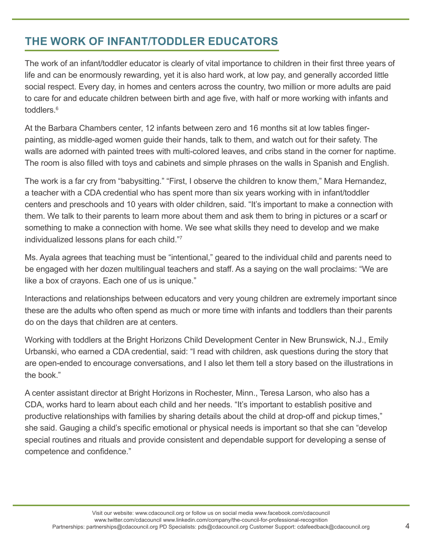## **THE WORK OF INFANT/TODDLER EDUCATORS**

The work of an infant/toddler educator is clearly of vital importance to children in their first three years of life and can be enormously rewarding, yet it is also hard work, at low pay, and generally accorded little social respect. Every day, in homes and centers across the country, two million or more adults are paid to care for and educate children between birth and age five, with half or more working with infants and toddlers. $^6$ 

At the Barbara Chambers center, 12 infants between zero and 16 months sit at low tables fingerpainting, as middle-aged women guide their hands, talk to them, and watch out for their safety. The walls are adorned with painted trees with multi-colored leaves, and cribs stand in the corner for naptime. The room is also filled with toys and cabinets and simple phrases on the walls in Spanish and English.

The work is a far cry from "babysitting." "First, I observe the children to know them," Mara Hernandez, a teacher with a CDA credential who has spent more than six years working with in infant/toddler centers and preschools and 10 years with older children, said. "It's important to make a connection with them. We talk to their parents to learn more about them and ask them to bring in pictures or a scarf or something to make a connection with home. We see what skills they need to develop and we make individualized lessons plans for each child."7

Ms. Ayala agrees that teaching must be "intentional," geared to the individual child and parents need to be engaged with her dozen multilingual teachers and staff. As a saying on the wall proclaims: "We are like a box of crayons. Each one of us is unique."

Interactions and relationships between educators and very young children are extremely important since these are the adults who often spend as much or more time with infants and toddlers than their parents do on the days that children are at centers.

Working with toddlers at the Bright Horizons Child Development Center in New Brunswick, N.J., Emily Urbanski, who earned a CDA credential, said: "I read with children, ask questions during the story that are open-ended to encourage conversations, and I also let them tell a story based on the illustrations in the book."

A center assistant director at Bright Horizons in Rochester, Minn., Teresa Larson, who also has a CDA, works hard to learn about each child and her needs. "It's important to establish positive and productive relationships with families by sharing details about the child at drop-off and pickup times," she said. Gauging a child's specific emotional or physical needs is important so that she can "develop special routines and rituals and provide consistent and dependable support for developing a sense of competence and confidence."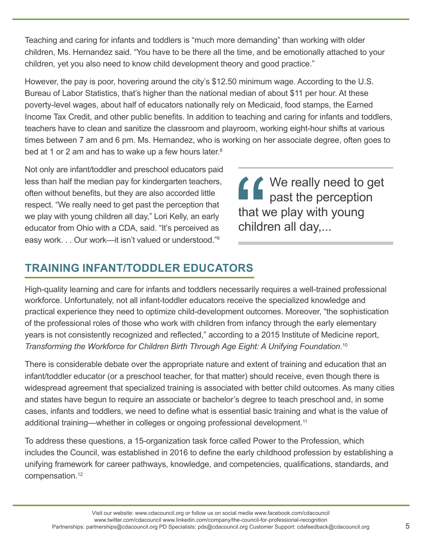Teaching and caring for infants and toddlers is "much more demanding" than working with older children, Ms. Hernandez said. "You have to be there all the time, and be emotionally attached to your children, yet you also need to know child development theory and good practice."

However, the pay is poor, hovering around the city's \$12.50 minimum wage. According to the U.S. Bureau of Labor Statistics, that's higher than the national median of about \$11 per hour. At these poverty-level wages, about half of educators nationally rely on Medicaid, food stamps, the Earned Income Tax Credit, and other public benefits. In addition to teaching and caring for infants and toddlers, teachers have to clean and sanitize the classroom and playroom, working eight-hour shifts at various times between 7 am and 6 pm. Ms. Hernandez, who is working on her associate degree, often goes to bed at 1 or 2 am and has to wake up a few hours later.<sup>8</sup>

Not only are infant/toddler and preschool educators paid less than half the median pay for kindergarten teachers, often without benefits, but they are also accorded little respect. "We really need to get past the perception that we play with young children all day," Lori Kelly, an early educator from Ohio with a CDA, said. "It's perceived as easy work. . . Our work—it isn't valued or understood."9

**↑ ↑** We really need to get past the perception that we play with young children all day,...

## **TRAINING INFANT/TODDLER EDUCATORS**

High-quality learning and care for infants and toddlers necessarily requires a well-trained professional workforce. Unfortunately, not all infant-toddler educators receive the specialized knowledge and practical experience they need to optimize child-development outcomes. Moreover, "the sophistication of the professional roles of those who work with children from infancy through the early elementary years is not consistently recognized and reflected," according to a 2015 Institute of Medicine report, *Transforming the Workforce for Children Birth Through Age Eight: A Unifying Foundation*. 10

There is considerable debate over the appropriate nature and extent of training and education that an infant/toddler educator (or a preschool teacher, for that matter) should receive, even though there is widespread agreement that specialized training is associated with better child outcomes. As many cities and states have begun to require an associate or bachelor's degree to teach preschool and, in some cases, infants and toddlers, we need to define what is essential basic training and what is the value of additional training—whether in colleges or ongoing professional development.<sup>11</sup>

To address these questions, a 15-organization task force called Power to the Profession, which includes the Council, was established in 2016 to define the early childhood profession by establishing a unifying framework for career pathways, knowledge, and competencies, qualifications, standards, and compensation.12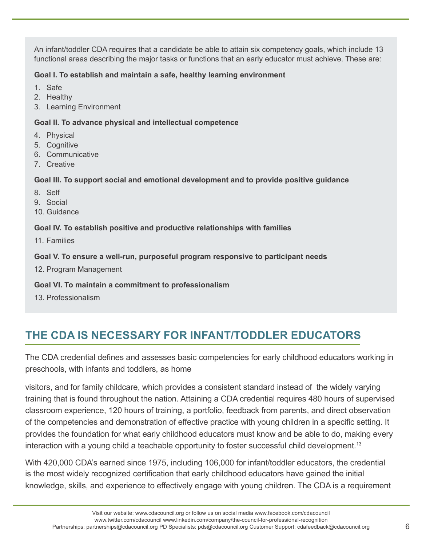An infant/toddler CDA requires that a candidate be able to attain six competency goals, which include 13 functional areas describing the major tasks or functions that an early educator must achieve. These are:

#### **Goal I. To establish and maintain a safe, healthy learning environment**

- 1. Safe
- 2. Healthy
- 3. Learning Environment

#### **Goal II. To advance physical and intellectual competence**

- 4. Physical
- 5. Cognitive
- 6. Communicative
- 7. Creative

#### **Goal III. To support social and emotional development and to provide positive guidance**

- 8. Self
- 9. Social
- 10. Guidance

#### **Goal IV. To establish positive and productive relationships with families**

11. Families

#### **Goal V. To ensure a well-run, purposeful program responsive to participant needs**

12. Program Management

#### **Goal VI. To maintain a commitment to professionalism**

13. Professionalism

## **THE CDA IS NECESSARY FOR INFANT/TODDLER EDUCATORS**

The CDA credential defines and assesses basic competencies for early childhood educators working in preschools, with infants and toddlers, as home

visitors, and for family childcare, which provides a consistent standard instead of the widely varying training that is found throughout the nation. Attaining a CDA credential requires 480 hours of supervised classroom experience, 120 hours of training, a portfolio, feedback from parents, and direct observation of the competencies and demonstration of effective practice with young children in a specific setting. It provides the foundation for what early childhood educators must know and be able to do, making every interaction with a young child a teachable opportunity to foster successful child development.<sup>13</sup>

With 420,000 CDA's earned since 1975, including 106,000 for infant/toddler educators, the credential is the most widely recognized certification that early childhood educators have gained the initial knowledge, skills, and experience to effectively engage with young children. The CDA is a requirement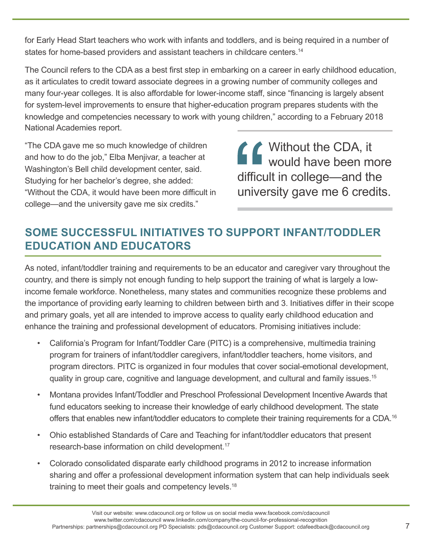for Early Head Start teachers who work with infants and toddlers, and is being required in a number of states for home-based providers and assistant teachers in childcare centers.<sup>14</sup>

The Council refers to the CDA as a best first step in embarking on a career in early childhood education, as it articulates to credit toward associate degrees in a growing number of community colleges and many four-year colleges. It is also affordable for lower-income staff, since "financing is largely absent for system-level improvements to ensure that higher-education program prepares students with the knowledge and competencies necessary to work with young children," according to a February 2018 National Academies report.

"The CDA gave me so much knowledge of children and how to do the job," Elba Menjivar, a teacher at Washington's Bell child development center, said. Studying for her bachelor's degree, she added: "Without the CDA, it would have been more difficult in college—and the university gave me six credits."

**↑↑** Without the CDA, it would have been more difficult in college—and the university gave me 6 credits.

## **SOME SUCCESSFUL INITIATIVES TO SUPPORT INFANT/TODDLER EDUCATION AND EDUCATORS**

As noted, infant/toddler training and requirements to be an educator and caregiver vary throughout the country, and there is simply not enough funding to help support the training of what is largely a lowincome female workforce. Nonetheless, many states and communities recognize these problems and the importance of providing early learning to children between birth and 3. Initiatives differ in their scope and primary goals, yet all are intended to improve access to quality early childhood education and enhance the training and professional development of educators. Promising initiatives include:

- California's Program for Infant/Toddler Care (PITC) is a comprehensive, multimedia training program for trainers of infant/toddler caregivers, infant/toddler teachers, home visitors, and program directors. PITC is organized in four modules that cover social-emotional development, quality in group care, cognitive and language development, and cultural and family issues.15
- Montana provides Infant/Toddler and Preschool Professional Development Incentive Awards that fund educators seeking to increase their knowledge of early childhood development. The state offers that enables new infant/toddler educators to complete their training requirements for a CDA.<sup>16</sup>
- Ohio established Standards of Care and Teaching for infant/toddler educators that present research-base information on child development.17
- Colorado consolidated disparate early childhood programs in 2012 to increase information sharing and offer a professional development information system that can help individuals seek training to meet their goals and competency levels.18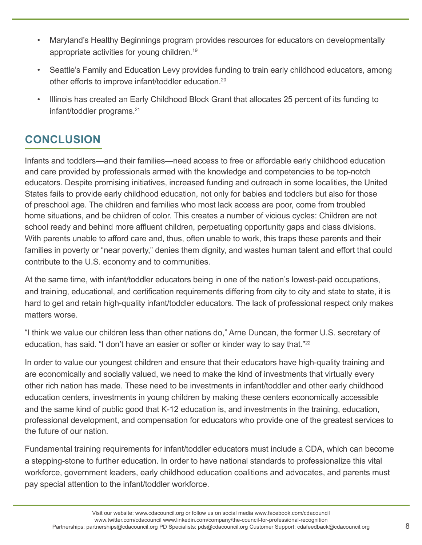- Maryland's Healthy Beginnings program provides resources for educators on developmentally appropriate activities for young children.19
- Seattle's Family and Education Levy provides funding to train early childhood educators, among other efforts to improve infant/toddler education.<sup>20</sup>
- Illinois has created an Early Childhood Block Grant that allocates 25 percent of its funding to infant/toddler programs.21

## **CONCLUSION**

Infants and toddlers—and their families—need access to free or affordable early childhood education and care provided by professionals armed with the knowledge and competencies to be top-notch educators. Despite promising initiatives, increased funding and outreach in some localities, the United States fails to provide early childhood education, not only for babies and toddlers but also for those of preschool age. The children and families who most lack access are poor, come from troubled home situations, and be children of color. This creates a number of vicious cycles: Children are not school ready and behind more affluent children, perpetuating opportunity gaps and class divisions. With parents unable to afford care and, thus, often unable to work, this traps these parents and their families in poverty or "near poverty," denies them dignity, and wastes human talent and effort that could contribute to the U.S. economy and to communities.

At the same time, with infant/toddler educators being in one of the nation's lowest-paid occupations, and training, educational, and certification requirements differing from city to city and state to state, it is hard to get and retain high-quality infant/toddler educators. The lack of professional respect only makes matters worse.

"I think we value our children less than other nations do," Arne Duncan, the former U.S. secretary of education, has said. "I don't have an easier or softer or kinder way to say that."<sup>22</sup>

In order to value our youngest children and ensure that their educators have high-quality training and are economically and socially valued, we need to make the kind of investments that virtually every other rich nation has made. These need to be investments in infant/toddler and other early childhood education centers, investments in young children by making these centers economically accessible and the same kind of public good that K-12 education is, and investments in the training, education, professional development, and compensation for educators who provide one of the greatest services to the future of our nation.

Fundamental training requirements for infant/toddler educators must include a CDA, which can become a stepping-stone to further education. In order to have national standards to professionalize this vital workforce, government leaders, early childhood education coalitions and advocates, and parents must pay special attention to the infant/toddler workforce.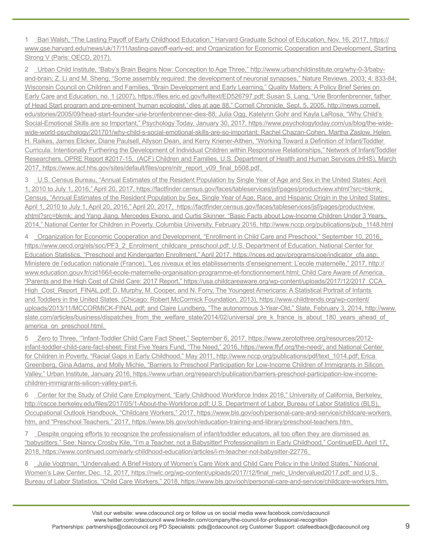1 Bari Walsh, "The Lasting Payoff of Early Childhood Education," Harvard Graduate School of Education, Nov. 16, 2017, https:// www.gse.harvard.edu/news/uk/17/11/lasting-payoff-early-ed; and Organization for Economic Cooperation and Development, Starting Strong V (Paris: OECD, 2017).

2 Urban Child Institute, "Baby's Brain Begins Now: Conception to Age Three," http://www.urbanchildinstitute.org/why-0-3/babyand-brain; Z. Li and M. Sheng, "Some assembly required: the development of neuronal synapses," Nature Reviews. 2003; 4: 833-84; Wisconsin Council on Children and Families, "Brain Development and Early Learning," Quality Matters: A Policy Brief Series on Early Care and Education, no. 1 (2007), https://files.eric.ed.gov/fulltext/ED526797.pdf; Susan S. Lang, "Urie Bronfenbrenner, father of Head Start program and pre-eminent 'human ecologist,' dies at age 88," Cornell Chronicle, Sept. 5, 2005, http://news.cornell. edu/stories/2005/09/head-start-founder-urie-bronfenbrenner-dies-88; Julia Ogg, Katelynn Gohr and Kayla LaRosa, "Why Child's Social-Emotional Skills are so Important," Psychology Today, January 30, 2017, https://www.psychologytoday.com/us/blog/the-widewide-world-psychology/201701/why-child-s-social-emotional-skills-are-so-important; Rachel Chazan-Cohen, Martha Zaslow, Helen H. Raikes, James Elicker, Diane Paulsell, Allyson Dean, and Kerry Kriener-Althen, "Working Toward a Definition of Infant/Toddler Curricula: Intentionally Furthering the Development of Individual Children within Responsive Relationships," Network of Infant/Toddler Researchers, OPRE Report #2017-15, (ACF) Children and Families, U.S. Department of Health and Human Services (HHS), March 2017, https://www.acf.hhs.gov/sites/default/files/opre/nitr\_report\_v09\_final\_b508.pdf.

3 U.S. Census Bureau, "Annual Estimates of the Resident Population by Single Year of Age and Sex in the United States: April 1, 2010 to July 1, 2016," April 20, 2017, https://factfinder.census.gov/faces/tableservices/jsf/pages/productview.xhtml?src=bkmk; Census, "Annual Estimates of the Resident Population by Sex, Single Year of Age, Race, and Hispanic Origin in the United States: April 1, 2010 to July 1, April 20, 2016," April 20, 2017, https://factfinder.census.gov/faces/tableservices/jsf/pages/productview. xhtml?src=bkmk; and Yang Jiang, Mercedes Ekono, and Curtis Skinner, "Basic Facts about Low-Income Children Under 3 Years, 2014," National Center for Children in Poverty, Columbia University, February 2016, http://www.nccp.org/publications/pub\_1148.html

4 Organization for Economic Cooperation and Development, "Enrollment in Child Care and Preschool," September 10, 2016, https://www.oecd.org/els/soc/PF3\_2\_Enrolment\_childcare\_preschool.pdf; U.S. Department of Education, National Center for Education Statistics, "Preschool and Kindergarten Enrollment," April 2017, https://nces.ed.gov/programs/coe/indicator\_cfa.asp; Ministere de l'education nationale (France), "Les niveaux et les etablissements d'enseignement: L'ecole maternelle," 2017, http:// www.education.gouv.fr/cid166/l-ecole-maternelle-organisation-programme-et-fonctionnement.html; Child Care Aware of America. "Parents and the High Cost of Child Care: 2017 Report," https://usa.childcareaware.org/wp-content/uploads/2017/12/2017\_CCA\_ High\_Cost\_Report\_FINAL.pdf; D. Murphy, M. Cooper, and N. Forry, The Youngest Americans: A Statistical Portrait of Infants and Toddlers in the United States. (Chicago: Robert McCormick Foundation, 2013), https://www.childtrends.org/wp-content/ uploads/2013/11/MCCORMICK-FINAL.pdf; and Claire Lundberg, "The autonomous 3-Year-Old," Slate, February 3, 2014, http://www. slate.com/articles/business/dispatches\_from\_the\_welfare\_state/2014/02/universal\_pre\_k\_france\_is\_about\_180\_years\_ahead\_of america on preschool.html.

5 Zero to Three, '"Infant-Toddler Child Care Fact Sheet," September 6, 2017, https://www.zerotothree.org/resources/2012 infant-toddler-child-care-fact-sheet; First Five Years Fund, "The Need," 2016, https://www.ffyf.org/the-need/; and National Center for Children in Poverty, "Racial Gaps in Early Childhood," May 2011, http://www.nccp.org/publications/pdf/text 1014.pdf; Erica Greenberg, Gina Adams, and Molly Michie, "Barriers to Preschool Participation for Low-Income Children of Immigrants in Silicon Valley," Urban Institute, January 2016, https://www.urban.org/research/publication/barriers-preschool-participation-low-incomechildren-immigrants-silicon-valley-part-ii.

6 Center for the Study of Child Care Employment, "Early Childhood Workforce Index 2016," University of California, Berkeley, http://cscce.berkeley.edu/files/2017/05/1-About-the-Workforce.pdf; U.S. Department of Labor, Bureau of Labor Statistics (BLS), Occupational Outlook Handbook, "Childcare Workers," 2017, https://www.bls.gov/ooh/personal-care-and-service/childcare-workers. htm, and "Preschool Teachers," 2017, https://www.bls.gov/ooh/education-training-and-library/preschool-teachers.htm.

7 Despite ongoing efforts to recognize the professionalism of infant/toddler educators, all too often they are dismissed as "babysitters." See: Nancy Crosby Kile, "I'm a Teacher, not a Babysitter! Professionalism in Early Childhood," ContinueED, April 17, 2018, https://www.continued.com/early-childhood-education/articles/i-m-teacher-not-babysitter-22776.

8 Julie Vogtman, "Undervalued: A Brief History of Women's Care Work and Child Care Policy in the United States," National Women's Law Center, Dec. 12, 2017, https://nwlc.org/wp-content/uploads/2017/12/final\_nwlc\_Undervalued2017.pdf; and U.S. Bureau of Labor Statistics, "Child Care Workers," 2018, https://www.bls.gov/ooh/personal-care-and-service/childcare-workers.htm.